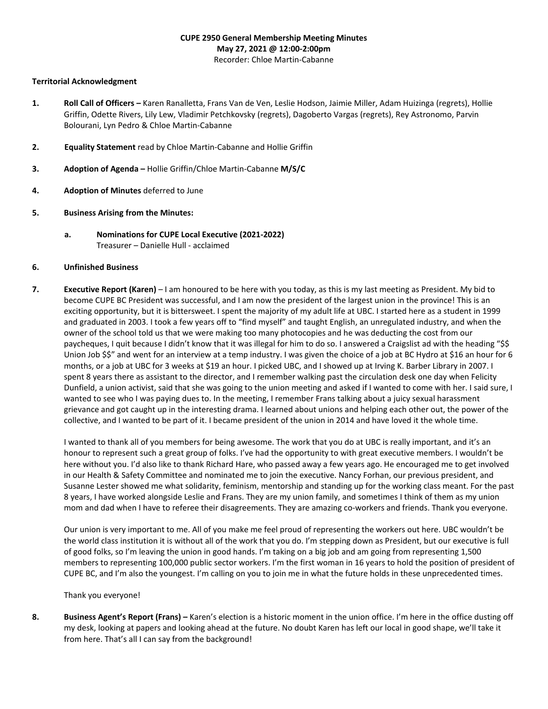# **CUPE 2950 General Membership Meeting Minutes May 27, 2021 @ 12:00-2:00pm** Recorder: Chloe Martin-Cabanne

### **Territorial Acknowledgment**

- **1. Roll Call of Officers –** Karen Ranalletta, Frans Van de Ven, Leslie Hodson, Jaimie Miller, Adam Huizinga (regrets), Hollie Griffin, Odette Rivers, Lily Lew, Vladimir Petchkovsky (regrets), Dagoberto Vargas (regrets), Rey Astronomo, Parvin Bolourani, Lyn Pedro & Chloe Martin-Cabanne
- **2. Equality Statement** read by Chloe Martin-Cabanne and Hollie Griffin
- **3. Adoption of Agenda –** Hollie Griffin/Chloe Martin-Cabanne **M/S/C**
- **4. Adoption of Minutes** deferred to June
- **5. Business Arising from the Minutes:**
	- **a. Nominations for CUPE Local Executive (2021-2022)** Treasurer – Danielle Hull - acclaimed

# **6. Unfinished Business**

**7. Executive Report (Karen)** – I am honoured to be here with you today, as this is my last meeting as President. My bid to become CUPE BC President was successful, and I am now the president of the largest union in the province! This is an exciting opportunity, but it is bittersweet. I spent the majority of my adult life at UBC. I started here as a student in 1999 and graduated in 2003. I took a few years off to "find myself" and taught English, an unregulated industry, and when the owner of the school told us that we were making too many photocopies and he was deducting the cost from our paycheques, I quit because I didn't know that it was illegal for him to do so. I answered a Craigslist ad with the heading "\$\$ Union Job \$\$" and went for an interview at a temp industry. I was given the choice of a job at BC Hydro at \$16 an hour for 6 months, or a job at UBC for 3 weeks at \$19 an hour. I picked UBC, and I showed up at Irving K. Barber Library in 2007. I spent 8 years there as assistant to the director, and I remember walking past the circulation desk one day when Felicity Dunfield, a union activist, said that she was going to the union meeting and asked if I wanted to come with her. I said sure, I wanted to see who I was paying dues to. In the meeting, I remember Frans talking about a juicy sexual harassment grievance and got caught up in the interesting drama. I learned about unions and helping each other out, the power of the collective, and I wanted to be part of it. I became president of the union in 2014 and have loved it the whole time.

I wanted to thank all of you members for being awesome. The work that you do at UBC is really important, and it's an honour to represent such a great group of folks. I've had the opportunity to with great executive members. I wouldn't be here without you. I'd also like to thank Richard Hare, who passed away a few years ago. He encouraged me to get involved in our Health & Safety Committee and nominated me to join the executive. Nancy Forhan, our previous president, and Susanne Lester showed me what solidarity, feminism, mentorship and standing up for the working class meant. For the past 8 years, I have worked alongside Leslie and Frans. They are my union family, and sometimes I think of them as my union mom and dad when I have to referee their disagreements. They are amazing co-workers and friends. Thank you everyone.

Our union is very important to me. All of you make me feel proud of representing the workers out here. UBC wouldn't be the world class institution it is without all of the work that you do. I'm stepping down as President, but our executive is full of good folks, so I'm leaving the union in good hands. I'm taking on a big job and am going from representing 1,500 members to representing 100,000 public sector workers. I'm the first woman in 16 years to hold the position of president of CUPE BC, and I'm also the youngest. I'm calling on you to join me in what the future holds in these unprecedented times.

Thank you everyone!

**8. Business Agent's Report (Frans) –** Karen's election is a historic moment in the union office. I'm here in the office dusting off my desk, looking at papers and looking ahead at the future. No doubt Karen has left our local in good shape, we'll take it from here. That's all I can say from the background!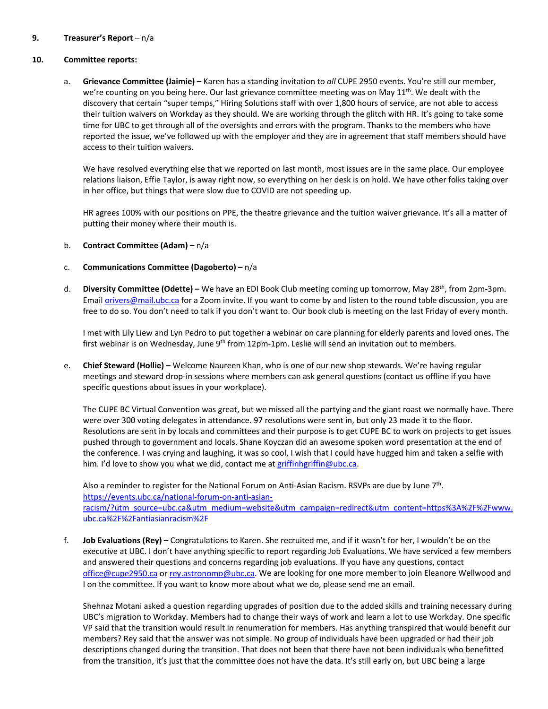# **9. Treasurer's Report** – n/a

### **10. Committee reports:**

a. **Grievance Committee (Jaimie) –** Karen has a standing invitation to *all* CUPE 2950 events. You're still our member, we're counting on you being here. Our last grievance committee meeting was on May 11<sup>th</sup>. We dealt with the discovery that certain "super temps," Hiring Solutions staff with over 1,800 hours of service, are not able to access their tuition waivers on Workday as they should. We are working through the glitch with HR. It's going to take some time for UBC to get through all of the oversights and errors with the program. Thanks to the members who have reported the issue, we've followed up with the employer and they are in agreement that staff members should have access to their tuition waivers.

We have resolved everything else that we reported on last month, most issues are in the same place. Our employee relations liaison, Effie Taylor, is away right now, so everything on her desk is on hold. We have other folks taking over in her office, but things that were slow due to COVID are not speeding up.

HR agrees 100% with our positions on PPE, the theatre grievance and the tuition waiver grievance. It's all a matter of putting their money where their mouth is.

- b. **Contract Committee (Adam) –** n/a
- c. **Communications Committee (Dagoberto) –** n/a
- d. **Diversity Committee (Odette) –** We have an EDI Book Club meeting coming up tomorrow, May 28th, from 2pm-3pm. Email [orivers@mail.ubc.ca](mailto:orivers@mail.ubc.ca) for a Zoom invite. If you want to come by and listen to the round table discussion, you are free to do so. You don't need to talk if you don't want to. Our book club is meeting on the last Friday of every month.

I met with Lily Liew and Lyn Pedro to put together a webinar on care planning for elderly parents and loved ones. The first webinar is on Wednesday, June 9<sup>th</sup> from 12pm-1pm. Leslie will send an invitation out to members.

e. **Chief Steward (Hollie) –** Welcome Naureen Khan, who is one of our new shop stewards. We're having regular meetings and steward drop-in sessions where members can ask general questions (contact us offline if you have specific questions about issues in your workplace).

The CUPE BC Virtual Convention was great, but we missed all the partying and the giant roast we normally have. There were over 300 voting delegates in attendance. 97 resolutions were sent in, but only 23 made it to the floor. Resolutions are sent in by locals and committees and their purpose is to get CUPE BC to work on projects to get issues pushed through to government and locals. Shane Koyczan did an awesome spoken word presentation at the end of the conference. I was crying and laughing, it was so cool, I wish that I could have hugged him and taken a selfie with him. I'd love to show you what we did, contact me at [griffinhgriffin@ubc.ca.](mailto:griffinhgriffin@ubc.ca)

Also a reminder to register for the National Forum on Anti-Asian Racism. RSVPs are due by June 7th. [https://events.ubc.ca/national-forum-on-anti-asian](https://events.ubc.ca/national-forum-on-anti-asian-racism/?utm_source=ubc.ca&utm_medium=website&utm_campaign=redirect&utm_content=https%3A%2F%2Fwww.ubc.ca%2F%2Fantiasianracism%2F)[racism/?utm\\_source=ubc.ca&utm\\_medium=website&utm\\_campaign=redirect&utm\\_content=https%3A%2F%2Fwww.](https://events.ubc.ca/national-forum-on-anti-asian-racism/?utm_source=ubc.ca&utm_medium=website&utm_campaign=redirect&utm_content=https%3A%2F%2Fwww.ubc.ca%2F%2Fantiasianracism%2F) [ubc.ca%2F%2Fantiasianracism%2F](https://events.ubc.ca/national-forum-on-anti-asian-racism/?utm_source=ubc.ca&utm_medium=website&utm_campaign=redirect&utm_content=https%3A%2F%2Fwww.ubc.ca%2F%2Fantiasianracism%2F)

f. **Job Evaluations (Rey)** – Congratulations to Karen. She recruited me, and if it wasn't for her, I wouldn't be on the executive at UBC. I don't have anything specific to report regarding Job Evaluations. We have serviced a few members and answered their questions and concerns regarding job evaluations. If you have any questions, contact [office@cupe2950.ca](mailto:office@cupe2950.ca) o[r rey.astronomo@ubc.ca.](mailto:rey.astronomo@ubc.ca) We are looking for one more member to join Eleanore Wellwood and I on the committee. If you want to know more about what we do, please send me an email.

Shehnaz Motani asked a question regarding upgrades of position due to the added skills and training necessary during UBC's migration to Workday. Members had to change their ways of work and learn a lot to use Workday. One specific VP said that the transition would result in renumeration for members. Has anything transpired that would benefit our members? Rey said that the answer was not simple. No group of individuals have been upgraded or had their job descriptions changed during the transition. That does not been that there have not been individuals who benefitted from the transition, it's just that the committee does not have the data. It's still early on, but UBC being a large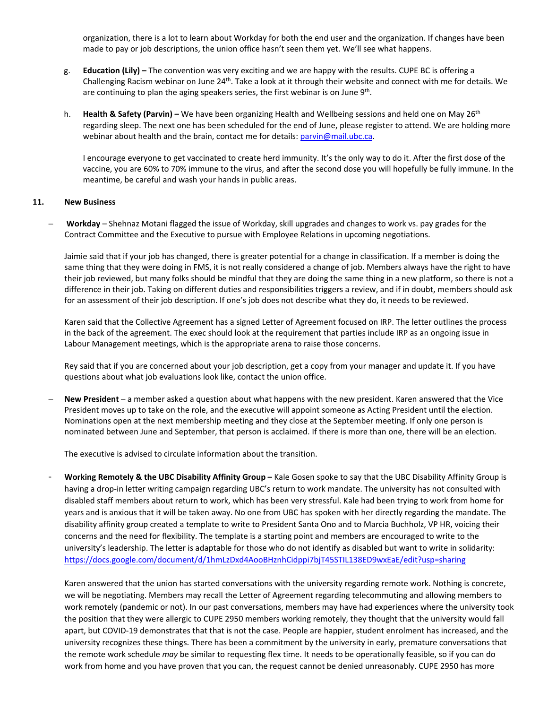organization, there is a lot to learn about Workday for both the end user and the organization. If changes have been made to pay or job descriptions, the union office hasn't seen them yet. We'll see what happens.

- g. **Education (Lily) –** The convention was very exciting and we are happy with the results. CUPE BC is offering a Challenging Racism webinar on June  $24^{th}$ . Take a look at it through their website and connect with me for details. We are continuing to plan the aging speakers series, the first webinar is on June 9<sup>th</sup>.
- h. **Health & Safety (Parvin) –** We have been organizing Health and Wellbeing sessions and held one on May 26th regarding sleep. The next one has been scheduled for the end of June, please register to attend. We are holding more webinar about health and the brain, contact me for details: parvin@mail.ubc.ca.

I encourage everyone to get vaccinated to create herd immunity. It's the only way to do it. After the first dose of the vaccine, you are 60% to 70% immune to the virus, and after the second dose you will hopefully be fully immune. In the meantime, be careful and wash your hands in public areas.

# **11. New Business**

− **Workday** – Shehnaz Motani flagged the issue of Workday, skill upgrades and changes to work vs. pay grades for the Contract Committee and the Executive to pursue with Employee Relations in upcoming negotiations.

Jaimie said that if your job has changed, there is greater potential for a change in classification. If a member is doing the same thing that they were doing in FMS, it is not really considered a change of job. Members always have the right to have their job reviewed, but many folks should be mindful that they are doing the same thing in a new platform, so there is not a difference in their job. Taking on different duties and responsibilities triggers a review, and if in doubt, members should ask for an assessment of their job description. If one's job does not describe what they do, it needs to be reviewed.

Karen said that the Collective Agreement has a signed Letter of Agreement focused on IRP. The letter outlines the process in the back of the agreement. The exec should look at the requirement that parties include IRP as an ongoing issue in Labour Management meetings, which is the appropriate arena to raise those concerns.

Rey said that if you are concerned about your job description, get a copy from your manager and update it. If you have questions about what job evaluations look like, contact the union office.

− **New President** – a member asked a question about what happens with the new president. Karen answered that the Vice President moves up to take on the role, and the executive will appoint someone as Acting President until the election. Nominations open at the next membership meeting and they close at the September meeting. If only one person is nominated between June and September, that person is acclaimed. If there is more than one, there will be an election.

The executive is advised to circulate information about the transition.

- **Working Remotely & the UBC Disability Affinity Group –** Kale Gosen spoke to say that the UBC Disability Affinity Group is having a drop-in letter writing campaign regarding UBC's return to work mandate. The university has not consulted with disabled staff members about return to work, which has been very stressful. Kale had been trying to work from home for years and is anxious that it will be taken away. No one from UBC has spoken with her directly regarding the mandate. The disability affinity group created a template to write to President Santa Ono and to Marcia Buchholz, VP HR, voicing their concerns and the need for flexibility. The template is a starting point and members are encouraged to write to the university's leadership. The letter is adaptable for those who do not identify as disabled but want to write in solidarity: <https://docs.google.com/document/d/1hmLzDxd4AooBHznhCidppi7bjT45STIL138ED9wxEaE/edit?usp=sharing>

Karen answered that the union has started conversations with the university regarding remote work. Nothing is concrete, we will be negotiating. Members may recall the Letter of Agreement regarding telecommuting and allowing members to work remotely (pandemic or not). In our past conversations, members may have had experiences where the university took the position that they were allergic to CUPE 2950 members working remotely, they thought that the university would fall apart, but COVID-19 demonstrates that that is not the case. People are happier, student enrolment has increased, and the university recognizes these things. There has been a commitment by the university in early, premature conversations that the remote work schedule *may* be similar to requesting flex time. It needs to be operationally feasible, so if you can do work from home and you have proven that you can, the request cannot be denied unreasonably. CUPE 2950 has more